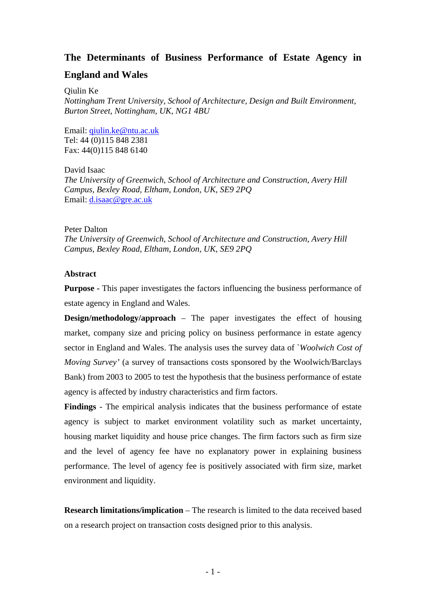# **The Determinants of Business Performance of Estate Agency in**

# **England and Wales**

Qiulin Ke

*Nottingham Trent University, School of Architecture, Design and Built Environment, Burton Street, Nottingham, UK, NG1 4BU* 

Email: [qiulin.ke@ntu.ac.uk](mailto:qiulin.ke@ntu.ac.uk) Tel: 44 (0)115 848 2381 Fax: 44(0)115 848 6140

David Isaac *The University of Greenwich, School of Architecture and Construction, Avery Hill Campus, Bexley Road, Eltham, London, UK, SE9 2PQ*  Email: [d.isaac@gre.ac.uk](mailto:d.isaac@gre.ac.uk)

## Peter Dalton

*The University of Greenwich, School of Architecture and Construction, Avery Hill Campus, Bexley Road, Eltham, London, UK, SE9 2PQ* 

## **Abstract**

**Purpose -** This paper investigates the factors influencing the business performance of estate agency in England and Wales.

**Design/methodology/approach** – The paper investigates the effect of housing market, company size and pricing policy on business performance in estate agency sector in England and Wales. The analysis uses the survey data of `*Woolwich Cost of Moving Survey'* (a survey of transactions costs sponsored by the Woolwich/Barclays Bank) from 2003 to 2005 to test the hypothesis that the business performance of estate agency is affected by industry characteristics and firm factors.

**Findings** - The empirical analysis indicates that the business performance of estate agency is subject to market environment volatility such as market uncertainty, housing market liquidity and house price changes. The firm factors such as firm size and the level of agency fee have no explanatory power in explaining business performance. The level of agency fee is positively associated with firm size, market environment and liquidity.

**Research limitations/implication** – The research is limited to the data received based on a research project on transaction costs designed prior to this analysis.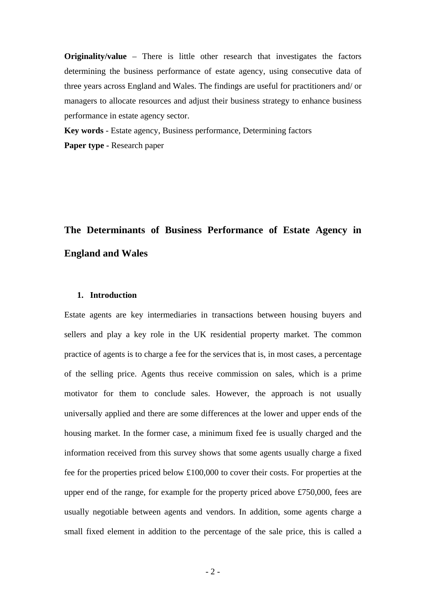**Originality/value** – There is little other research that investigates the factors determining the business performance of estate agency, using consecutive data of three years across England and Wales. The findings are useful for practitioners and/ or managers to allocate resources and adjust their business strategy to enhance business performance in estate agency sector.

**Key words** - Estate agency, Business performance, Determining factors Paper type - Research paper

# **The Determinants of Business Performance of Estate Agency in England and Wales**

## **1. Introduction**

Estate agents are key intermediaries in transactions between housing buyers and sellers and play a key role in the UK residential property market. The common practice of agents is to charge a fee for the services that is, in most cases, a percentage of the selling price. Agents thus receive commission on sales, which is a prime motivator for them to conclude sales. However, the approach is not usually universally applied and there are some differences at the lower and upper ends of the housing market. In the former case, a minimum fixed fee is usually charged and the information received from this survey shows that some agents usually charge a fixed fee for the properties priced below £100,000 to cover their costs. For properties at the upper end of the range, for example for the property priced above £750,000, fees are usually negotiable between agents and vendors. In addition, some agents charge a small fixed element in addition to the percentage of the sale price, this is called a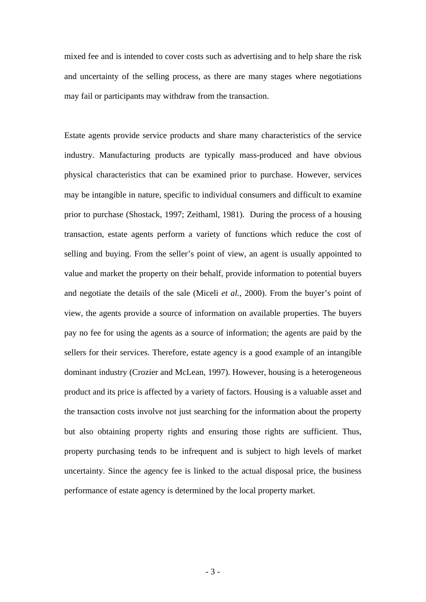mixed fee and is intended to cover costs such as advertising and to help share the risk and uncertainty of the selling process, as there are many stages where negotiations may fail or participants may withdraw from the transaction.

Estate agents provide service products and share many characteristics of the service industry. Manufacturing products are typically mass-produced and have obvious physical characteristics that can be examined prior to purchase. However, services may be intangible in nature, specific to individual consumers and difficult to examine prior to purchase (Shostack, 1997; Zeithaml, 1981). During the process of a housing transaction, estate agents perform a variety of functions which reduce the cost of selling and buying. From the seller's point of view, an agent is usually appointed to value and market the property on their behalf, provide information to potential buyers and negotiate the details of the sale (Miceli *et al.*, 2000). From the buyer's point of view, the agents provide a source of information on available properties. The buyers pay no fee for using the agents as a source of information; the agents are paid by the sellers for their services. Therefore, estate agency is a good example of an intangible dominant industry (Crozier and McLean, 1997). However, housing is a heterogeneous product and its price is affected by a variety of factors. Housing is a valuable asset and the transaction costs involve not just searching for the information about the property but also obtaining property rights and ensuring those rights are sufficient. Thus, property purchasing tends to be infrequent and is subject to high levels of market uncertainty. Since the agency fee is linked to the actual disposal price, the business performance of estate agency is determined by the local property market.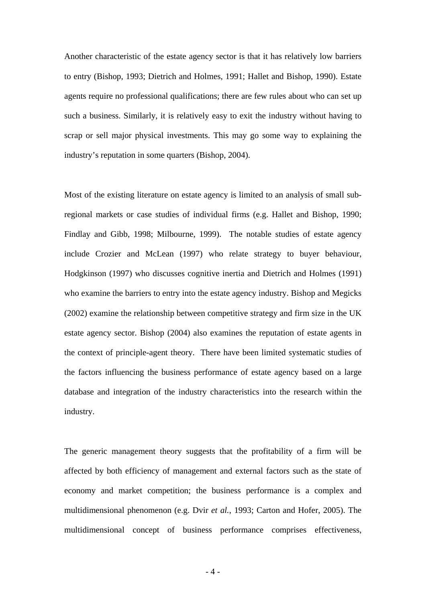Another characteristic of the estate agency sector is that it has relatively low barriers to entry (Bishop, 1993; Dietrich and Holmes, 1991; Hallet and Bishop, 1990). Estate agents require no professional qualifications; there are few rules about who can set up such a business. Similarly, it is relatively easy to exit the industry without having to scrap or sell major physical investments. This may go some way to explaining the industry's reputation in some quarters (Bishop, 2004).

Most of the existing literature on estate agency is limited to an analysis of small subregional markets or case studies of individual firms (e.g. Hallet and Bishop, 1990; Findlay and Gibb, 1998; Milbourne, 1999). The notable studies of estate agency include Crozier and McLean (1997) who relate strategy to buyer behaviour, Hodgkinson (1997) who discusses cognitive inertia and Dietrich and Holmes (1991) who examine the barriers to entry into the estate agency industry. Bishop and Megicks (2002) examine the relationship between competitive strategy and firm size in the UK estate agency sector. Bishop (2004) also examines the reputation of estate agents in the context of principle-agent theory. There have been limited systematic studies of the factors influencing the business performance of estate agency based on a large database and integration of the industry characteristics into the research within the industry.

The generic management theory suggests that the profitability of a firm will be affected by both efficiency of management and external factors such as the state of economy and market competition; the business performance is a complex and multidimensional phenomenon (e.g. Dvir *et al.*, 1993; Carton and Hofer, 2005). The multidimensional concept of business performance comprises effectiveness,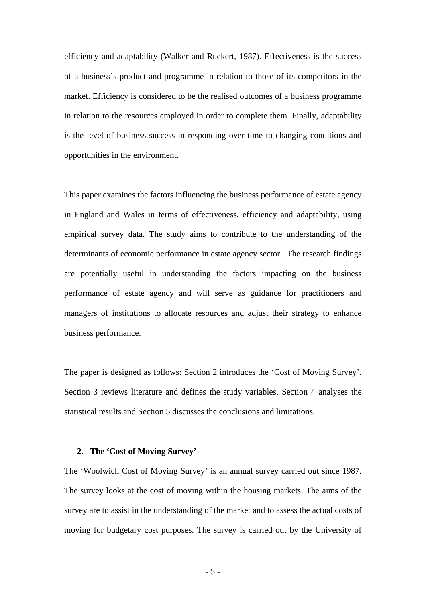efficiency and adaptability (Walker and Ruekert, 1987). Effectiveness is the success of a business's product and programme in relation to those of its competitors in the market. Efficiency is considered to be the realised outcomes of a business programme in relation to the resources employed in order to complete them. Finally, adaptability is the level of business success in responding over time to changing conditions and opportunities in the environment.

This paper examines the factors influencing the business performance of estate agency in England and Wales in terms of effectiveness, efficiency and adaptability, using empirical survey data. The study aims to contribute to the understanding of the determinants of economic performance in estate agency sector. The research findings are potentially useful in understanding the factors impacting on the business performance of estate agency and will serve as guidance for practitioners and managers of institutions to allocate resources and adjust their strategy to enhance business performance.

The paper is designed as follows: Section 2 introduces the 'Cost of Moving Survey'. Section 3 reviews literature and defines the study variables. Section 4 analyses the statistical results and Section 5 discusses the conclusions and limitations.

#### **2. The 'Cost of Moving Survey'**

The 'Woolwich Cost of Moving Survey' is an annual survey carried out since 1987. The survey looks at the cost of moving within the housing markets. The aims of the survey are to assist in the understanding of the market and to assess the actual costs of moving for budgetary cost purposes. The survey is carried out by the University of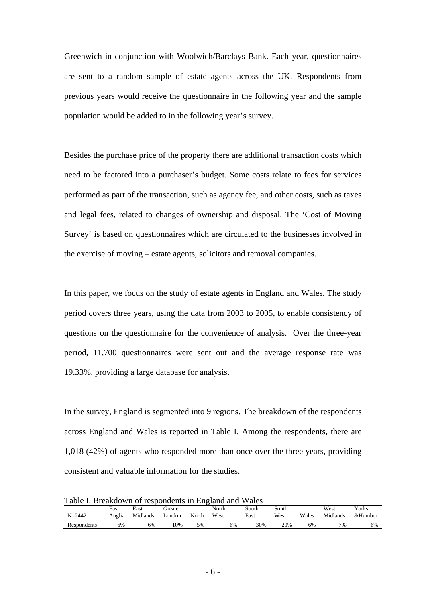Greenwich in conjunction with Woolwich/Barclays Bank. Each year, questionnaires are sent to a random sample of estate agents across the UK. Respondents from previous years would receive the questionnaire in the following year and the sample population would be added to in the following year's survey.

Besides the purchase price of the property there are additional transaction costs which need to be factored into a purchaser's budget. Some costs relate to fees for services performed as part of the transaction, such as agency fee, and other costs, such as taxes and legal fees, related to changes of ownership and disposal. The 'Cost of Moving Survey' is based on questionnaires which are circulated to the businesses involved in the exercise of moving – estate agents, solicitors and removal companies.

In this paper, we focus on the study of estate agents in England and Wales. The study period covers three years, using the data from 2003 to 2005, to enable consistency of questions on the questionnaire for the convenience of analysis. Over the three-year period, 11,700 questionnaires were sent out and the average response rate was 19.33%, providing a large database for analysis.

In the survey, England is segmented into 9 regions. The breakdown of the respondents across England and Wales is reported in Table I. Among the respondents, there are 1,018 (42%) of agents who responded more than once over the three years, providing consistent and valuable information for the studies.

Table I. Breakdown of respondents in England and Wales

| $N = 2442$  | East<br>Anglia | East<br>Midlands | dreater<br>∟ondon | North | North<br>West | South<br>East | South<br>West | Wales | West<br>Midlands | Vorks<br>&Humber |
|-------------|----------------|------------------|-------------------|-------|---------------|---------------|---------------|-------|------------------|------------------|
| Respondents | 6%             | 6%               | 10%               | 5%    | 6%            | 30%           | 20%           | 6%    | 7%               | 6%               |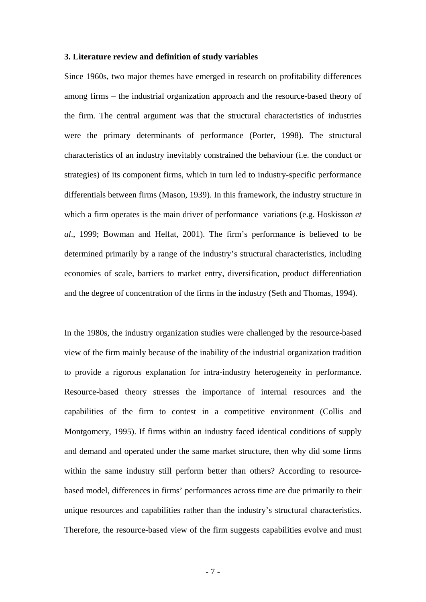#### **3. Literature review and definition of study variables**

Since 1960s, two major themes have emerged in research on profitability differences among firms – the industrial organization approach and the resource-based theory of the firm. The central argument was that the structural characteristics of industries were the primary determinants of performance (Porter, 1998). The structural characteristics of an industry inevitably constrained the behaviour (i.e. the conduct or strategies) of its component firms, which in turn led to industry-specific performance differentials between firms (Mason, 1939). In this framework, the industry structure in which a firm operates is the main driver of performance variations (e.g. Hoskisson *et al*., 1999; Bowman and Helfat, 2001). The firm's performance is believed to be determined primarily by a range of the industry's structural characteristics, including economies of scale, barriers to market entry, diversification, product differentiation and the degree of concentration of the firms in the industry (Seth and Thomas, 1994).

In the 1980s, the industry organization studies were challenged by the resource-based view of the firm mainly because of the inability of the industrial organization tradition to provide a rigorous explanation for intra-industry heterogeneity in performance. Resource-based theory stresses the importance of internal resources and the capabilities of the firm to contest in a competitive environment (Collis and Montgomery, 1995). If firms within an industry faced identical conditions of supply and demand and operated under the same market structure, then why did some firms within the same industry still perform better than others? According to resourcebased model, differences in firms' performances across time are due primarily to their unique resources and capabilities rather than the industry's structural characteristics. Therefore, the resource-based view of the firm suggests capabilities evolve and must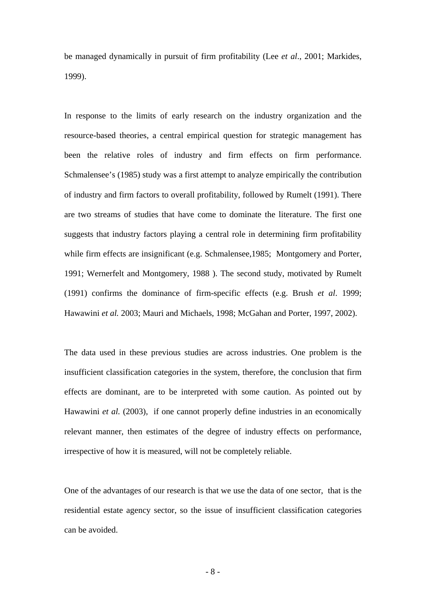be managed dynamically in pursuit of firm profitability (Lee *et al*., 2001; Markides, 1999).

In response to the limits of early research on the industry organization and the resource-based theories, a central empirical question for strategic management has been the relative roles of industry and firm effects on firm performance. Schmalensee's (1985) study was a first attempt to analyze empirically the contribution of industry and firm factors to overall profitability, followed by Rumelt (1991). There are two streams of studies that have come to dominate the literature. The first one suggests that industry factors playing a central role in determining firm profitability while firm effects are insignificant (e.g. Schmalensee,1985; Montgomery and Porter, 1991; Wernerfelt and Montgomery, 1988 ). The second study, motivated by Rumelt (1991) confirms the dominance of firm-specific effects (e.g. Brush *et al*. 1999; Hawawini *et al.* 2003; Mauri and Michaels, 1998; McGahan and Porter, 1997, 2002).

The data used in these previous studies are across industries. One problem is the insufficient classification categories in the system, therefore, the conclusion that firm effects are dominant, are to be interpreted with some caution. As pointed out by Hawawini *et al.* (2003), if one cannot properly define industries in an economically relevant manner, then estimates of the degree of industry effects on performance, irrespective of how it is measured, will not be completely reliable.

One of the advantages of our research is that we use the data of one sector, that is the residential estate agency sector, so the issue of insufficient classification categories can be avoided.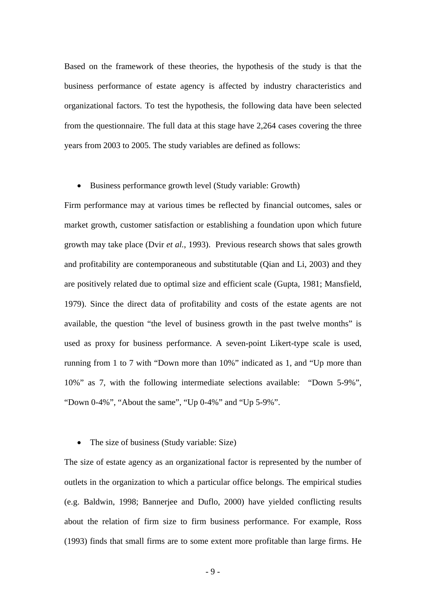Based on the framework of these theories, the hypothesis of the study is that the business performance of estate agency is affected by industry characteristics and organizational factors. To test the hypothesis, the following data have been selected from the questionnaire. The full data at this stage have 2,264 cases covering the three years from 2003 to 2005. The study variables are defined as follows:

#### • Business performance growth level (Study variable: Growth)

Firm performance may at various times be reflected by financial outcomes, sales or market growth, customer satisfaction or establishing a foundation upon which future growth may take place (Dvir *et al.*, 1993). Previous research shows that sales growth and profitability are contemporaneous and substitutable (Qian and Li, 2003) and they are positively related due to optimal size and efficient scale (Gupta, 1981; Mansfield, 1979). Since the direct data of profitability and costs of the estate agents are not available, the question "the level of business growth in the past twelve months" is used as proxy for business performance. A seven-point Likert-type scale is used, running from 1 to 7 with "Down more than 10%" indicated as 1, and "Up more than 10%" as 7, with the following intermediate selections available: "Down 5-9%", "Down 0-4%", "About the same", "Up 0-4%" and "Up 5-9%".

• The size of business (Study variable: Size)

The size of estate agency as an organizational factor is represented by the number of outlets in the organization to which a particular office belongs. The empirical studies (e.g. Baldwin, 1998; Bannerjee and Duflo, 2000) have yielded conflicting results about the relation of firm size to firm business performance. For example, Ross (1993) finds that small firms are to some extent more profitable than large firms. He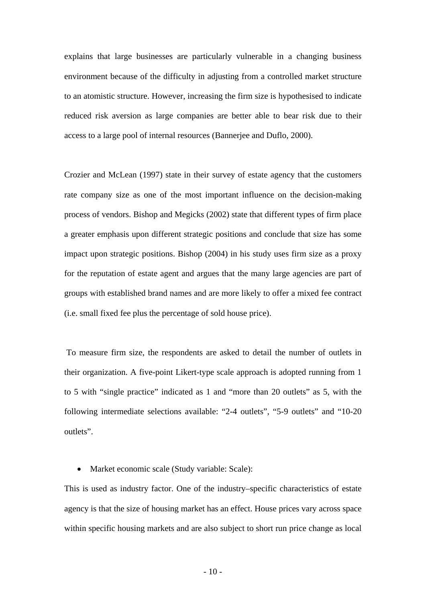explains that large businesses are particularly vulnerable in a changing business environment because of the difficulty in adjusting from a controlled market structure to an atomistic structure. However, increasing the firm size is hypothesised to indicate reduced risk aversion as large companies are better able to bear risk due to their access to a large pool of internal resources (Bannerjee and Duflo, 2000).

Crozier and McLean (1997) state in their survey of estate agency that the customers rate company size as one of the most important influence on the decision-making process of vendors. Bishop and Megicks (2002) state that different types of firm place a greater emphasis upon different strategic positions and conclude that size has some impact upon strategic positions. Bishop (2004) in his study uses firm size as a proxy for the reputation of estate agent and argues that the many large agencies are part of groups with established brand names and are more likely to offer a mixed fee contract (i.e. small fixed fee plus the percentage of sold house price).

 To measure firm size, the respondents are asked to detail the number of outlets in their organization. A five-point Likert-type scale approach is adopted running from 1 to 5 with "single practice" indicated as 1 and "more than 20 outlets" as 5, with the following intermediate selections available: "2-4 outlets", "5-9 outlets" and "10-20 outlets".

• Market economic scale (Study variable: Scale):

This is used as industry factor. One of the industry–specific characteristics of estate agency is that the size of housing market has an effect. House prices vary across space within specific housing markets and are also subject to short run price change as local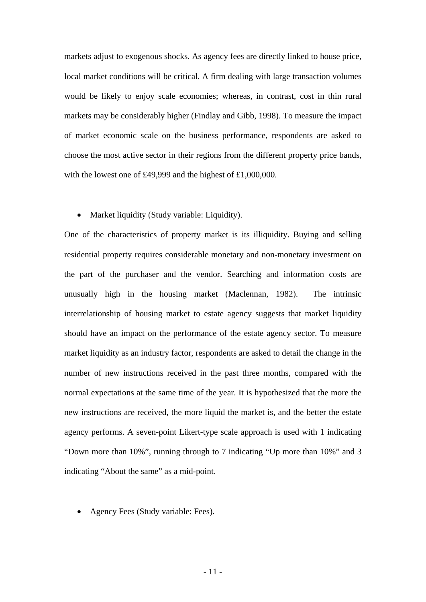markets adjust to exogenous shocks. As agency fees are directly linked to house price, local market conditions will be critical. A firm dealing with large transaction volumes would be likely to enjoy scale economies; whereas, in contrast, cost in thin rural markets may be considerably higher (Findlay and Gibb, 1998). To measure the impact of market economic scale on the business performance, respondents are asked to choose the most active sector in their regions from the different property price bands, with the lowest one of £49,999 and the highest of £1,000,000.

• Market liquidity (Study variable: Liquidity).

One of the characteristics of property market is its illiquidity. Buying and selling residential property requires considerable monetary and non-monetary investment on the part of the purchaser and the vendor. Searching and information costs are unusually high in the housing market (Maclennan, 1982). The intrinsic interrelationship of housing market to estate agency suggests that market liquidity should have an impact on the performance of the estate agency sector. To measure market liquidity as an industry factor, respondents are asked to detail the change in the number of new instructions received in the past three months, compared with the normal expectations at the same time of the year. It is hypothesized that the more the new instructions are received, the more liquid the market is, and the better the estate agency performs. A seven-point Likert-type scale approach is used with 1 indicating "Down more than 10%", running through to 7 indicating "Up more than 10%" and 3 indicating "About the same" as a mid-point.

• Agency Fees (Study variable: Fees).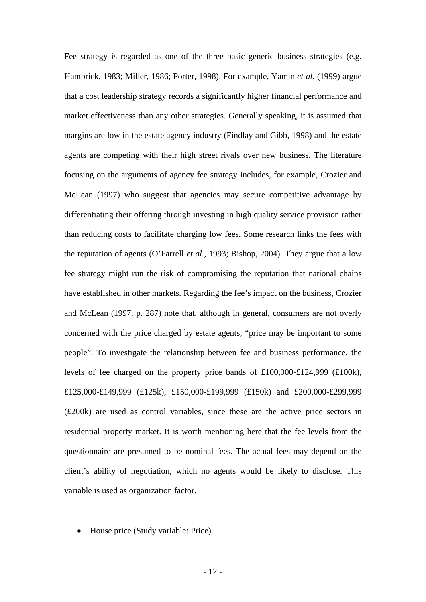Fee strategy is regarded as one of the three basic generic business strategies (e.g. Hambrick, 1983; Miller, 1986; Porter, 1998). For example, Yamin *et al.* (1999) argue that a cost leadership strategy records a significantly higher financial performance and market effectiveness than any other strategies. Generally speaking, it is assumed that margins are low in the estate agency industry (Findlay and Gibb, 1998) and the estate agents are competing with their high street rivals over new business. The literature focusing on the arguments of agency fee strategy includes, for example, Crozier and McLean (1997) who suggest that agencies may secure competitive advantage by differentiating their offering through investing in high quality service provision rather than reducing costs to facilitate charging low fees. Some research links the fees with the reputation of agents (O'Farrell *et al.*, 1993; Bishop, 2004). They argue that a low fee strategy might run the risk of compromising the reputation that national chains have established in other markets. Regarding the fee's impact on the business, Crozier and McLean (1997, p. 287) note that, although in general, consumers are not overly concerned with the price charged by estate agents, "price may be important to some people". To investigate the relationship between fee and business performance, the levels of fee charged on the property price bands of £100,000-£124,999 (£100k), £125,000-£149,999 (£125k), £150,000-£199,999 (£150k) and £200,000-£299,999 (£200k) are used as control variables, since these are the active price sectors in residential property market. It is worth mentioning here that the fee levels from the questionnaire are presumed to be nominal fees. The actual fees may depend on the client's ability of negotiation, which no agents would be likely to disclose. This variable is used as organization factor.

• House price (Study variable: Price).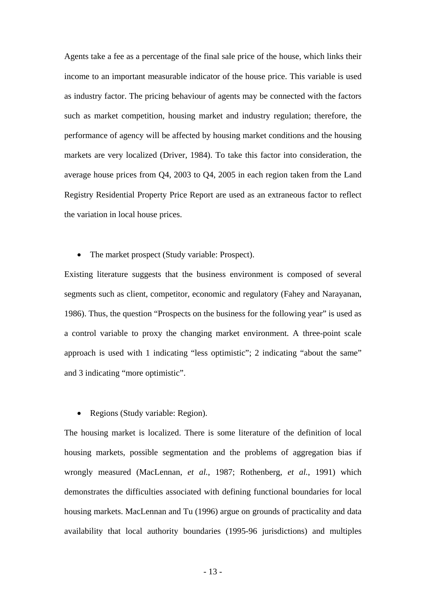Agents take a fee as a percentage of the final sale price of the house, which links their income to an important measurable indicator of the house price. This variable is used as industry factor. The pricing behaviour of agents may be connected with the factors such as market competition, housing market and industry regulation; therefore, the performance of agency will be affected by housing market conditions and the housing markets are very localized (Driver, 1984). To take this factor into consideration, the average house prices from Q4, 2003 to Q4, 2005 in each region taken from the Land Registry Residential Property Price Report are used as an extraneous factor to reflect the variation in local house prices.

The market prospect (Study variable: Prospect).

Existing literature suggests that the business environment is composed of several segments such as client, competitor, economic and regulatory (Fahey and Narayanan, 1986). Thus, the question "Prospects on the business for the following year" is used as a control variable to proxy the changing market environment. A three-point scale approach is used with 1 indicating "less optimistic"; 2 indicating "about the same" and 3 indicating "more optimistic".

• Regions (Study variable: Region).

The housing market is localized. There is some literature of the definition of local housing markets, possible segmentation and the problems of aggregation bias if wrongly measured (MacLennan, *et al.*, 1987; Rothenberg, *et al.*, 1991) which demonstrates the difficulties associated with defining functional boundaries for local housing markets. MacLennan and Tu (1996) argue on grounds of practicality and data availability that local authority boundaries (1995-96 jurisdictions) and multiples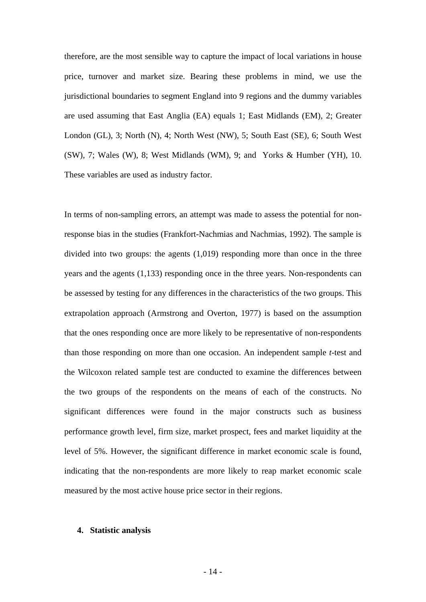therefore, are the most sensible way to capture the impact of local variations in house price, turnover and market size. Bearing these problems in mind, we use the jurisdictional boundaries to segment England into 9 regions and the dummy variables are used assuming that East Anglia (EA) equals 1; East Midlands (EM), 2; Greater London (GL), 3; North (N), 4; North West (NW), 5; South East (SE), 6; South West (SW), 7; Wales (W), 8; West Midlands (WM), 9; and Yorks & Humber (YH), 10. These variables are used as industry factor.

In terms of non-sampling errors, an attempt was made to assess the potential for nonresponse bias in the studies (Frankfort-Nachmias and Nachmias, 1992). The sample is divided into two groups: the agents (1,019) responding more than once in the three years and the agents (1,133) responding once in the three years. Non-respondents can be assessed by testing for any differences in the characteristics of the two groups. This extrapolation approach (Armstrong and Overton, 1977) is based on the assumption that the ones responding once are more likely to be representative of non-respondents than those responding on more than one occasion. An independent sample *t*-test and the Wilcoxon related sample test are conducted to examine the differences between the two groups of the respondents on the means of each of the constructs. No significant differences were found in the major constructs such as business performance growth level, firm size, market prospect, fees and market liquidity at the level of 5%. However, the significant difference in market economic scale is found, indicating that the non-respondents are more likely to reap market economic scale measured by the most active house price sector in their regions.

#### **4. Statistic analysis**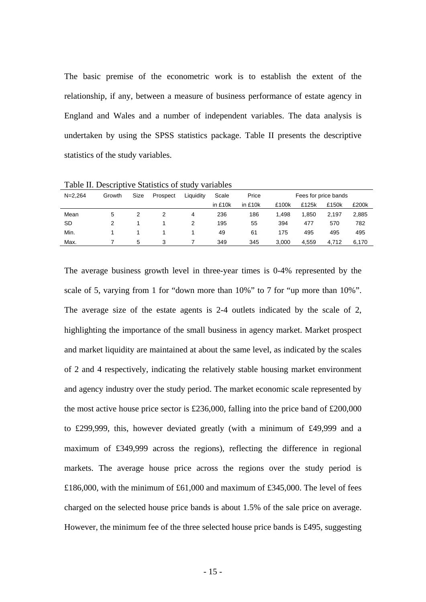The basic premise of the econometric work is to establish the extent of the relationship, if any, between a measure of business performance of estate agency in England and Wales and a number of independent variables. The data analysis is undertaken by using the SPSS statistics package. Table II presents the descriptive statistics of the study variables.

| £200k                |
|----------------------|
| 2,885                |
| 782                  |
| 495                  |
| 6,170                |
| Fees for price bands |

Table II. Descriptive Statistics of study variables

The average business growth level in three-year times is 0-4% represented by the scale of 5, varying from 1 for "down more than 10%" to 7 for "up more than 10%". The average size of the estate agents is 2-4 outlets indicated by the scale of 2, highlighting the importance of the small business in agency market. Market prospect and market liquidity are maintained at about the same level, as indicated by the scales of 2 and 4 respectively, indicating the relatively stable housing market environment and agency industry over the study period. The market economic scale represented by the most active house price sector is £236,000, falling into the price band of £200,000 to £299,999, this, however deviated greatly (with a minimum of £49,999 and a maximum of £349,999 across the regions), reflecting the difference in regional markets. The average house price across the regions over the study period is £186,000, with the minimum of £61,000 and maximum of £345,000. The level of fees charged on the selected house price bands is about 1.5% of the sale price on average. However, the minimum fee of the three selected house price bands is £495, suggesting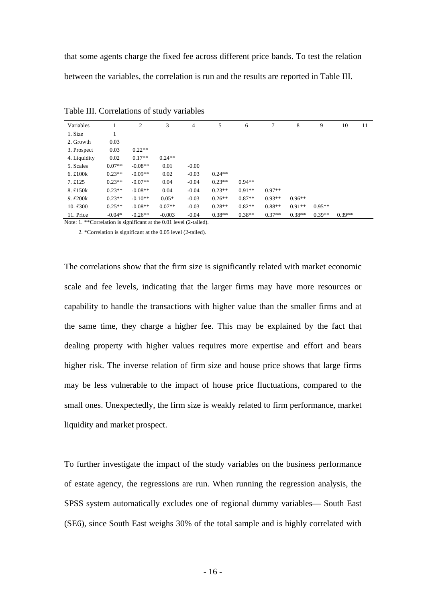that some agents charge the fixed fee across different price bands. To test the relation between the variables, the correlation is run and the results are reported in Table III.

| Variables               |          | 2         | 3        | 4       | 5        | 6        |          | 8        | 9        | 10       | 11 |
|-------------------------|----------|-----------|----------|---------|----------|----------|----------|----------|----------|----------|----|
| 1. Size                 |          |           |          |         |          |          |          |          |          |          |    |
| 2. Growth               | 0.03     |           |          |         |          |          |          |          |          |          |    |
| 3. Prospect             | 0.03     | $0.22**$  |          |         |          |          |          |          |          |          |    |
| 4. Liquidity            | 0.02     | $0.17**$  | $0.24**$ |         |          |          |          |          |          |          |    |
| 5. Scales               | $0.07**$ | $-0.08**$ | 0.01     | $-0.00$ |          |          |          |          |          |          |    |
| 6. $£100k$              | $0.23**$ | $-0.09**$ | 0.02     | $-0.03$ | $0.24**$ |          |          |          |          |          |    |
| 7.£125                  | $0.23**$ | $-0.07**$ | 0.04     | $-0.04$ | $0.23**$ | $0.94**$ |          |          |          |          |    |
| 8. £150k                | $0.23**$ | $-0.08**$ | 0.04     | $-0.04$ | $0.23**$ | $0.91**$ | $0.97**$ |          |          |          |    |
| 9. £200k                | $0.23**$ | $-0.10**$ | $0.05*$  | $-0.03$ | $0.26**$ | $0.87**$ | $0.93**$ | $0.96**$ |          |          |    |
| 10. $\text{\pounds}300$ | $0.25**$ | $-0.08**$ | $0.07**$ | $-0.03$ | $0.28**$ | $0.82**$ | $0.88**$ | $0.91**$ | $0.95**$ |          |    |
| 11. Price               | $-0.04*$ | $-0.26**$ | $-0.003$ | $-0.04$ | $0.38**$ | $0.38**$ | $0.37**$ | $0.38**$ | $0.39**$ | $0.39**$ |    |

Table III. Correlations of study variables

Note: 1. \*\*Correlation is significant at the 0.01 level (2-tailed).

2. \*Correlation is significant at the 0.05 level (2-tailed).

The correlations show that the firm size is significantly related with market economic scale and fee levels, indicating that the larger firms may have more resources or capability to handle the transactions with higher value than the smaller firms and at the same time, they charge a higher fee. This may be explained by the fact that dealing property with higher values requires more expertise and effort and bears higher risk. The inverse relation of firm size and house price shows that large firms may be less vulnerable to the impact of house price fluctuations, compared to the small ones. Unexpectedly, the firm size is weakly related to firm performance, market liquidity and market prospect.

To further investigate the impact of the study variables on the business performance of estate agency, the regressions are run. When running the regression analysis, the SPSS system automatically excludes one of regional dummy variables— South East (SE6), since South East weighs 30% of the total sample and is highly correlated with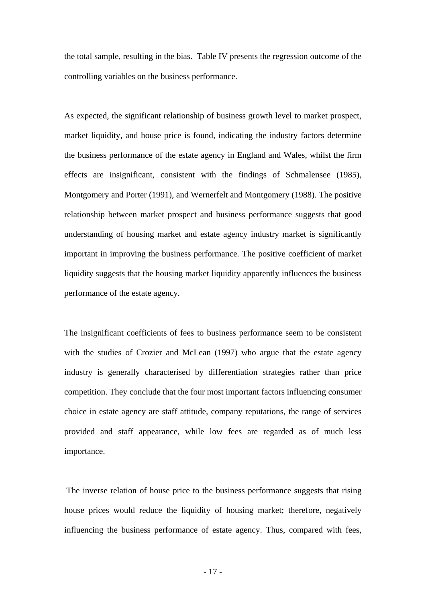the total sample, resulting in the bias. Table IV presents the regression outcome of the controlling variables on the business performance.

As expected, the significant relationship of business growth level to market prospect, market liquidity, and house price is found, indicating the industry factors determine the business performance of the estate agency in England and Wales, whilst the firm effects are insignificant, consistent with the findings of Schmalensee (1985), Montgomery and Porter (1991), and Wernerfelt and Montgomery (1988). The positive relationship between market prospect and business performance suggests that good understanding of housing market and estate agency industry market is significantly important in improving the business performance. The positive coefficient of market liquidity suggests that the housing market liquidity apparently influences the business performance of the estate agency.

The insignificant coefficients of fees to business performance seem to be consistent with the studies of Crozier and McLean (1997) who argue that the estate agency industry is generally characterised by differentiation strategies rather than price competition. They conclude that the four most important factors influencing consumer choice in estate agency are staff attitude, company reputations, the range of services provided and staff appearance, while low fees are regarded as of much less importance.

 The inverse relation of house price to the business performance suggests that rising house prices would reduce the liquidity of housing market; therefore, negatively influencing the business performance of estate agency. Thus, compared with fees,

- 17 -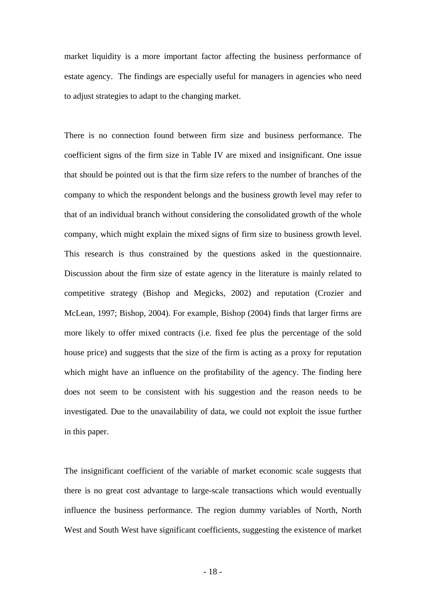market liquidity is a more important factor affecting the business performance of estate agency. The findings are especially useful for managers in agencies who need to adjust strategies to adapt to the changing market.

There is no connection found between firm size and business performance. The coefficient signs of the firm size in Table IV are mixed and insignificant. One issue that should be pointed out is that the firm size refers to the number of branches of the company to which the respondent belongs and the business growth level may refer to that of an individual branch without considering the consolidated growth of the whole company, which might explain the mixed signs of firm size to business growth level. This research is thus constrained by the questions asked in the questionnaire. Discussion about the firm size of estate agency in the literature is mainly related to competitive strategy (Bishop and Megicks, 2002) and reputation (Crozier and McLean, 1997; Bishop, 2004). For example, Bishop (2004) finds that larger firms are more likely to offer mixed contracts (i.e. fixed fee plus the percentage of the sold house price) and suggests that the size of the firm is acting as a proxy for reputation which might have an influence on the profitability of the agency. The finding here does not seem to be consistent with his suggestion and the reason needs to be investigated. Due to the unavailability of data, we could not exploit the issue further in this paper.

The insignificant coefficient of the variable of market economic scale suggests that there is no great cost advantage to large-scale transactions which would eventually influence the business performance. The region dummy variables of North, North West and South West have significant coefficients, suggesting the existence of market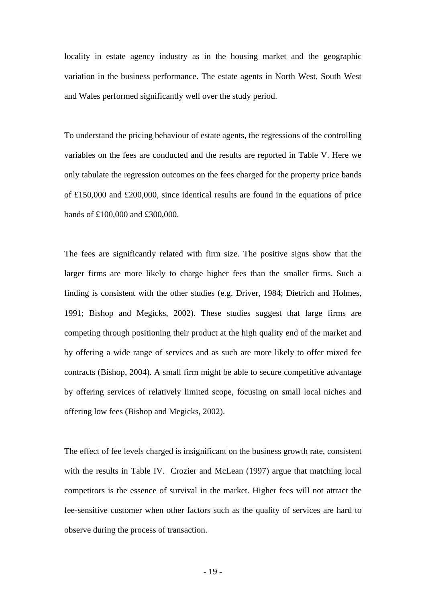locality in estate agency industry as in the housing market and the geographic variation in the business performance. The estate agents in North West, South West and Wales performed significantly well over the study period.

To understand the pricing behaviour of estate agents, the regressions of the controlling variables on the fees are conducted and the results are reported in Table V. Here we only tabulate the regression outcomes on the fees charged for the property price bands of £150,000 and £200,000, since identical results are found in the equations of price bands of £100,000 and £300,000.

The fees are significantly related with firm size. The positive signs show that the larger firms are more likely to charge higher fees than the smaller firms. Such a finding is consistent with the other studies (e.g. Driver, 1984; Dietrich and Holmes, 1991; Bishop and Megicks, 2002). These studies suggest that large firms are competing through positioning their product at the high quality end of the market and by offering a wide range of services and as such are more likely to offer mixed fee contracts (Bishop, 2004). A small firm might be able to secure competitive advantage by offering services of relatively limited scope, focusing on small local niches and offering low fees (Bishop and Megicks, 2002).

The effect of fee levels charged is insignificant on the business growth rate, consistent with the results in Table IV. Crozier and McLean (1997) argue that matching local competitors is the essence of survival in the market. Higher fees will not attract the fee-sensitive customer when other factors such as the quality of services are hard to observe during the process of transaction.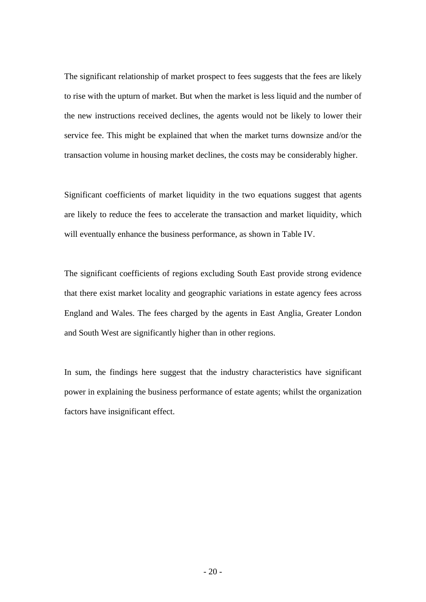The significant relationship of market prospect to fees suggests that the fees are likely to rise with the upturn of market. But when the market is less liquid and the number of the new instructions received declines, the agents would not be likely to lower their service fee. This might be explained that when the market turns downsize and/or the transaction volume in housing market declines, the costs may be considerably higher.

Significant coefficients of market liquidity in the two equations suggest that agents are likely to reduce the fees to accelerate the transaction and market liquidity, which will eventually enhance the business performance, as shown in Table IV.

The significant coefficients of regions excluding South East provide strong evidence that there exist market locality and geographic variations in estate agency fees across England and Wales. The fees charged by the agents in East Anglia, Greater London and South West are significantly higher than in other regions.

In sum, the findings here suggest that the industry characteristics have significant power in explaining the business performance of estate agents; whilst the organization factors have insignificant effect.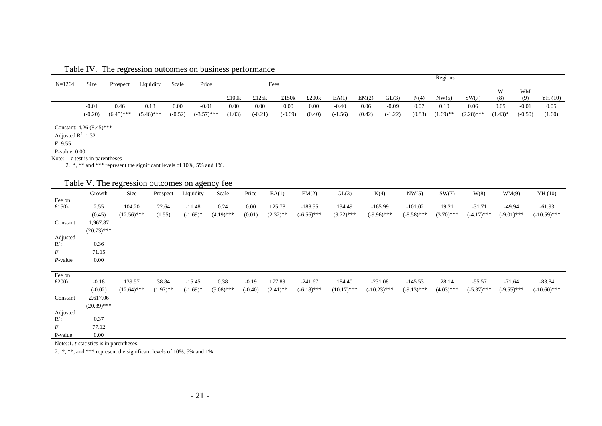| Table IV. The regression outcomes on business performance |  |  |
|-----------------------------------------------------------|--|--|
|                                                           |  |  |

|                                      |           |              |              |           |               |        |           |           |        |           |        |           |        | Regions     |              |            |           |         |
|--------------------------------------|-----------|--------------|--------------|-----------|---------------|--------|-----------|-----------|--------|-----------|--------|-----------|--------|-------------|--------------|------------|-----------|---------|
| $N = 1264$                           | Size      | Prospect     | Liquidity    | Scale     | Price         |        |           | Fees      |        |           |        |           |        |             |              |            |           |         |
|                                      |           |              |              |           |               |        |           |           |        |           |        |           |        |             |              | W          | WM        |         |
|                                      |           |              |              |           |               | £100k  | £125 $k$  | £150 $k$  | £200k  | EA(1)     | EM(2)  | GL(3)     | N(4)   | NW(5)       | SW(7)        | (8)        | (9)       | YH (10) |
|                                      | $-0.01$   | 0.46         | 0.18         | 0.00      | $-0.01$       | 0.00   | 0.00      | 0.00      | 0.00   | $-0.40$   | 0.06   | $-0.09$   | 0.07   | 0.10        | 0.06         | 0.05       | $-0.01$   | 0.05    |
|                                      | $(-0.20)$ | $(6.45)$ *** | $(5.46)$ *** | $(-0.52)$ | $(-3.57)$ *** | (1.03) | $(-0.21)$ | $(-0.69)$ | (0.40) | $(-1.56)$ | (0.42) | $(-1.22)$ | (0.83) | $(1.69)$ ** | $(2.28)$ *** | $(1.43)$ * | $(-0.50)$ | (1.60)  |
| Constant: $4.26(8.45)$ ***           |           |              |              |           |               |        |           |           |        |           |        |           |        |             |              |            |           |         |
| Adjusted $R^2$ : 1.32                |           |              |              |           |               |        |           |           |        |           |        |           |        |             |              |            |           |         |
| F: 9.55                              |           |              |              |           |               |        |           |           |        |           |        |           |        |             |              |            |           |         |
| $P-value: 0.00$                      |           |              |              |           |               |        |           |           |        |           |        |           |        |             |              |            |           |         |
| Note: 1. $t$ -test is in parentheses |           |              |              |           |               |        |           |           |        |           |        |           |        |             |              |            |           |         |

2. \*, \*\* and \*\*\* represent the significant levels of 10%, 5% and 1%.

# Table V. The regression outcomes on agency fee

|                     | Growth        | Size          | Prospect    | Liquidity   | Scale        | Price     | EA(1)       | EM(2)         | GL(3)         | N(4)           | NW(5)         | SW(7)        | W(8)          | WM(9)         | YH(10)         |
|---------------------|---------------|---------------|-------------|-------------|--------------|-----------|-------------|---------------|---------------|----------------|---------------|--------------|---------------|---------------|----------------|
| Fee on              |               |               |             |             |              |           |             |               |               |                |               |              |               |               |                |
| £150 $k$            | 2.55          | 104.20        | 22.64       | $-11.48$    | 0.24         | 0.00      | 125.78      | $-188.55$     | 134.49        | $-165.99$      | $-101.02$     | 19.21        | $-31.71$      | $-49.94$      | $-61.93$       |
|                     | (0.45)        | $(12.56)$ *** | (1.55)      | $(-1.69)$ * | $(4.19)$ *** | (0.01)    | $(2.32)$ ** | $(-6.56)$ *** | $(9.72)$ ***  | $(-9.96)$ ***  | $(-8.58)$ *** | $(3.70)$ *** | $(-4.17)$ *** | $(-9.01)$ *** | $(-10.59)$ *** |
| Constant            | 1,967.87      |               |             |             |              |           |             |               |               |                |               |              |               |               |                |
|                     | $(20.73)$ *** |               |             |             |              |           |             |               |               |                |               |              |               |               |                |
|                     |               |               |             |             |              |           |             |               |               |                |               |              |               |               |                |
| Adjusted<br>$R^2$ : | 0.36          |               |             |             |              |           |             |               |               |                |               |              |               |               |                |
| F                   | 71.15         |               |             |             |              |           |             |               |               |                |               |              |               |               |                |
| $P$ -value          | 0.00          |               |             |             |              |           |             |               |               |                |               |              |               |               |                |
|                     |               |               |             |             |              |           |             |               |               |                |               |              |               |               |                |
| Fee on              |               |               |             |             |              |           |             |               |               |                |               |              |               |               |                |
| £200k               | $-0.18$       | 139.57        | 38.84       | $-15.45$    | 0.38         | $-0.19$   | 177.89      | $-241.67$     | 184.40        | $-231.08$      | $-145.53$     | 28.14        | $-55.57$      | $-71.64$      | $-83.84$       |
|                     | $(-0.02)$     | $(12.64)$ *** | $(1.97)$ ** | $(-1.69)$ * | $(5.08)$ *** | $(-0.40)$ | $(2.41)$ ** | $(-6.18)$ *** | $(10.17)$ *** | $(-10.23)$ *** | $(-9.13)$ *** | $(4.03)$ *** | $(-5.37)$ *** | $(-9.55)$ *** | $(-10.60)$ *** |
| Constant            | 2,617.06      |               |             |             |              |           |             |               |               |                |               |              |               |               |                |
|                     | $(20.39)$ *** |               |             |             |              |           |             |               |               |                |               |              |               |               |                |
|                     |               |               |             |             |              |           |             |               |               |                |               |              |               |               |                |
| Adjusted<br>$R^2$ : | 0.37          |               |             |             |              |           |             |               |               |                |               |              |               |               |                |
| F                   | 77.12         |               |             |             |              |           |             |               |               |                |               |              |               |               |                |
| P-value             | 0.00          |               |             |             |              |           |             |               |               |                |               |              |               |               |                |

Note::1. *t*-statistics is in parentheses.

2. \*, \*\*, and \*\*\* represent the significant levels of 10%, 5% and 1%.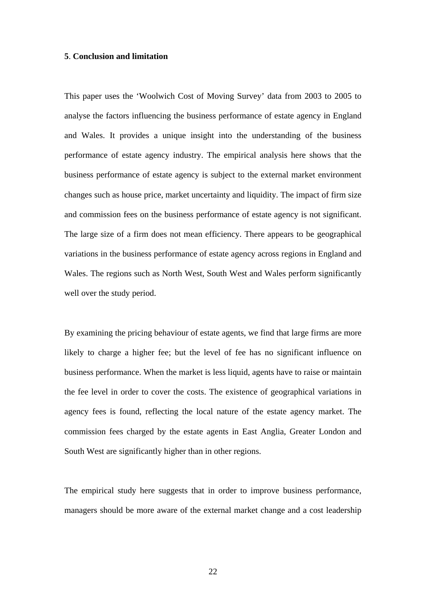#### **5**. **Conclusion and limitation**

This paper uses the 'Woolwich Cost of Moving Survey' data from 2003 to 2005 to analyse the factors influencing the business performance of estate agency in England and Wales. It provides a unique insight into the understanding of the business performance of estate agency industry. The empirical analysis here shows that the business performance of estate agency is subject to the external market environment changes such as house price, market uncertainty and liquidity. The impact of firm size and commission fees on the business performance of estate agency is not significant. The large size of a firm does not mean efficiency. There appears to be geographical variations in the business performance of estate agency across regions in England and Wales. The regions such as North West, South West and Wales perform significantly well over the study period.

By examining the pricing behaviour of estate agents, we find that large firms are more likely to charge a higher fee; but the level of fee has no significant influence on business performance. When the market is less liquid, agents have to raise or maintain the fee level in order to cover the costs. The existence of geographical variations in agency fees is found, reflecting the local nature of the estate agency market. The commission fees charged by the estate agents in East Anglia, Greater London and South West are significantly higher than in other regions.

The empirical study here suggests that in order to improve business performance, managers should be more aware of the external market change and a cost leadership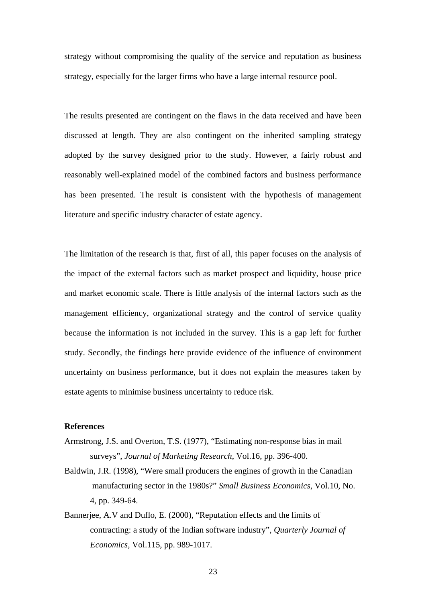strategy without compromising the quality of the service and reputation as business strategy, especially for the larger firms who have a large internal resource pool.

The results presented are contingent on the flaws in the data received and have been discussed at length. They are also contingent on the inherited sampling strategy adopted by the survey designed prior to the study. However, a fairly robust and reasonably well-explained model of the combined factors and business performance has been presented. The result is consistent with the hypothesis of management literature and specific industry character of estate agency.

The limitation of the research is that, first of all, this paper focuses on the analysis of the impact of the external factors such as market prospect and liquidity, house price and market economic scale. There is little analysis of the internal factors such as the management efficiency, organizational strategy and the control of service quality because the information is not included in the survey. This is a gap left for further study. Secondly, the findings here provide evidence of the influence of environment uncertainty on business performance, but it does not explain the measures taken by estate agents to minimise business uncertainty to reduce risk.

## **References**

- Armstrong, J.S. and Overton, T.S. (1977), "Estimating non-response bias in mail surveys", *Journal of Marketing Research*, Vol.16, pp. 396-400.
- Baldwin, J.R. (1998), "Were small producers the engines of growth in the Canadian manufacturing sector in the 1980s?" *Small Business Economics*, Vol.10, No. 4, pp. 349-64.
- Bannerjee, A.V and Duflo, E. (2000), "Reputation effects and the limits of contracting: a study of the Indian software industry", *Quarterly Journal of Economics,* Vol.115, pp. 989-1017.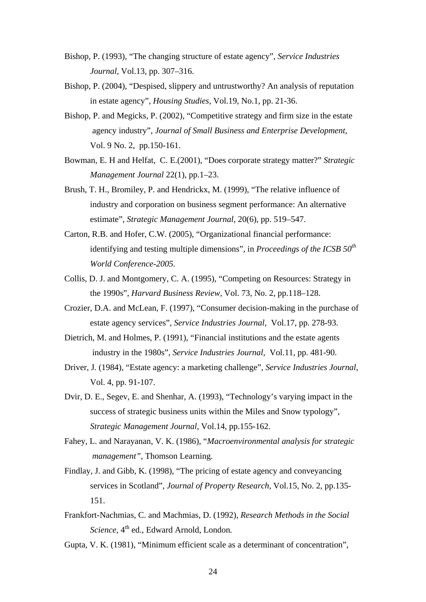- Bishop, P. (1993), "The changing structure of estate agency", *Service Industries Journal,* Vol.13, pp. 307–316.
- Bishop, P. (2004), "Despised, slippery and untrustworthy? An analysis of reputation in estate agency", *Housing Studies*, Vol.19, No.1, pp. 21-36.
- Bishop, P. and Megicks, P. (2002), "Competitive strategy and firm size in the estate agency industry", *Journal of Small Business and Enterprise Development*, Vol. 9 No. 2, pp.150-161.
- Bowman, E. H and Helfat, C. E.(2001), "Does corporate strategy matter?" *Strategic Management Journal* 22(1), pp.1–23.
- Brush, T. H., Bromiley, P. and Hendrickx, M. (1999), "The relative influence of industry and corporation on business segment performance: An alternative estimate", *Strategic Management Journal*, 20(6), pp. 519–547.
- Carton, R.B. and Hofer, C.W. (2005), "Organizational financial performance: identifying and testing multiple dimensions", in *Proceedings of the ICSB 50<sup>th</sup> World Conference-2005.*
- Collis, D. J. and Montgomery, C. A. (1995), "Competing on Resources: Strategy in the 1990s", *Harvard Business Review,* Vol. 73, No. 2, pp.118–128.
- Crozier, D.A. and McLean, F. (1997), "Consumer decision-making in the purchase of estate agency services", *Service Industries Journal*, Vol.17, pp. 278-93.
- Dietrich, M. and Holmes, P. (1991), "Financial institutions and the estate agents industry in the 1980s", *Service Industries Journal*, Vol.11, pp. 481-90.
- Driver, J. (1984), "Estate agency: a marketing challenge", *Service Industries Journal*, Vol. 4, pp. 91-107.
- Dvir, D. E., Segev, E. and Shenhar, A. (1993), "Technology's varying impact in the success of strategic business units within the Miles and Snow typology", *Strategic Management Journal,* Vol.14, pp.155-162.
- Fahey, L. and Narayanan, V. K. (1986), "*Macroenvironmental analysis for strategic management"*, Thomson Learning.
- Findlay, J. and Gibb, K. (1998), "The pricing of estate agency and conveyancing services in Scotland", *Journal of Property Research*, Vol.15, No. 2, pp.135- 151.
- Frankfort-Nachmias, C. and Machmias, D. (1992), *Research Methods in the Social Science*, 4<sup>th</sup> ed., Edward Arnold, London.
- Gupta, V. K. (1981), "Minimum efficient scale as a determinant of concentration",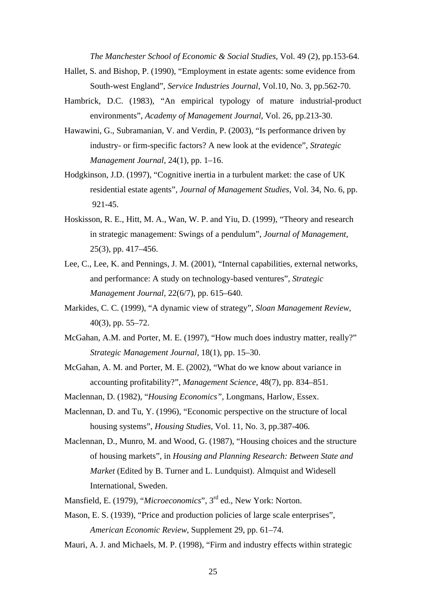*The Manchester School of Economic & Social Studies*, Vol. 49 (2), pp.153-64.

- Hallet, S. and Bishop, P. (1990), "Employment in estate agents: some evidence from South-west England", *Service Industries Journal*, Vol.10, No. 3, pp.562-70.
- Hambrick, D.C. (1983), "An empirical typology of mature industrial-product environments", *Academy of Management Journal,* Vol. 26, pp.213-30.
- Hawawini, G., Subramanian, V. and Verdin, P. (2003), "Is performance driven by industry- or firm-specific factors? A new look at the evidence", *Strategic Management Journal,* 24(1), pp. 1–16.
- Hodgkinson, J.D. (1997), "Cognitive inertia in a turbulent market: the case of UK residential estate agents", *Journal of Management Studies*, Vol. 34, No. 6, pp. 921-45.
- Hoskisson, R. E., Hitt, M. A., Wan, W. P. and Yiu, D. (1999), "Theory and research in strategic management: Swings of a pendulum", *Journal of Management,* 25(3), pp. 417–456.
- Lee, C., Lee, K. and Pennings, J. M. (2001), "Internal capabilities, external networks, and performance: A study on technology-based ventures", *Strategic Management Journal,* 22(6/7), pp. 615–640.
- Markides, C. C. (1999), "A dynamic view of strategy", *Sloan Management Review*, 40(3), pp. 55–72.
- McGahan, A.M. and Porter, M. E. (1997), "How much does industry matter, really?" *Strategic Management Journal,* 18(1), pp. 15–30.
- McGahan, A. M. and Porter, M. E. (2002), "What do we know about variance in accounting profitability?", *Management Science,* 48(7), pp. 834–851.
- Maclennan, D. (1982), "*Housing Economics",* Longmans, Harlow, Essex.
- Maclennan, D. and Tu, Y. (1996), "Economic perspective on the structure of local housing systems", *Housing Studies,* Vol. 11, No. 3, pp.387-406.
- Maclennan, D., Munro, M. and Wood, G. (1987), "Housing choices and the structure of housing markets", in *Housing and Planning Research: Between State and Market* (Edited by B. Turner and L. Lundquist). Almquist and Widesell International, Sweden.
- Mansfield, E. (1979), "*Microeconomics*", 3rd ed., New York: Norton.
- Mason, E. S. (1939), "Price and production policies of large scale enterprises", *American Economic Review*, Supplement 29, pp. 61–74.
- Mauri, A. J. and Michaels, M. P. (1998), "Firm and industry effects within strategic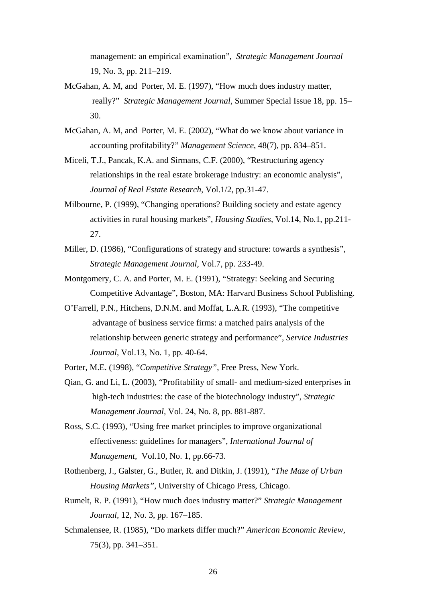management: an empirical examination", *Strategic Management Journal*  19, No. 3, pp. 211–219.

- McGahan, A. M, and Porter, M. E. (1997), "How much does industry matter, really?" *Strategic Management Journal*, Summer Special Issue 18, pp. 15– 30.
- McGahan, A. M, and Porter, M. E. (2002), "What do we know about variance in accounting profitability?" *Management Science*, 48(7), pp. 834–851.
- Miceli, T.J., Pancak, K.A. and Sirmans, C.F. (2000), "Restructuring agency relationships in the real estate brokerage industry: an economic analysis", *Journal of Real Estate Research,* Vol.1/2, pp.31-47.
- Milbourne, P. (1999), "Changing operations? Building society and estate agency activities in rural housing markets", *Housing Studies*, Vol.14, No.1, pp.211- 27.
- Miller, D. (1986), "Configurations of strategy and structure: towards a synthesis", *Strategic Management Journal*, Vol.7, pp. 233-49.
- Montgomery, C. A. and Porter, M. E. (1991), "Strategy: Seeking and Securing Competitive Advantage", Boston, MA: Harvard Business School Publishing.
- O'Farrell, P.N., Hitchens, D.N.M. and Moffat, L.A.R. (1993), "The competitive advantage of business service firms: a matched pairs analysis of the relationship between generic strategy and performance", *Service Industries Journal*, Vol.13, No. 1, pp. 40-64.
- Porter, M.E. (1998), "*Competitive Strategy"*, Free Press, New York.
- Qian, G. and Li, L. (2003), "Profitability of small- and medium-sized enterprises in high-tech industries: the case of the biotechnology industry", *Strategic Management Journal,* Vol. 24, No. 8, pp. 881-887.
- Ross, S.C. (1993), "Using free market principles to improve organizational effectiveness: guidelines for managers", *International Journal of Management,* Vol.10, No. 1, pp.66-73.
- Rothenberg, J., Galster, G., Butler, R. and Ditkin, J. (1991), "*The Maze of Urban Housing Markets",* University of Chicago Press, Chicago.
- Rumelt, R. P. (1991), "How much does industry matter?" *Strategic Management Journal,* 12, No. 3, pp. 167–185.
- Schmalensee, R. (1985), "Do markets differ much?" *American Economic Review*, 75(3), pp. 341–351.